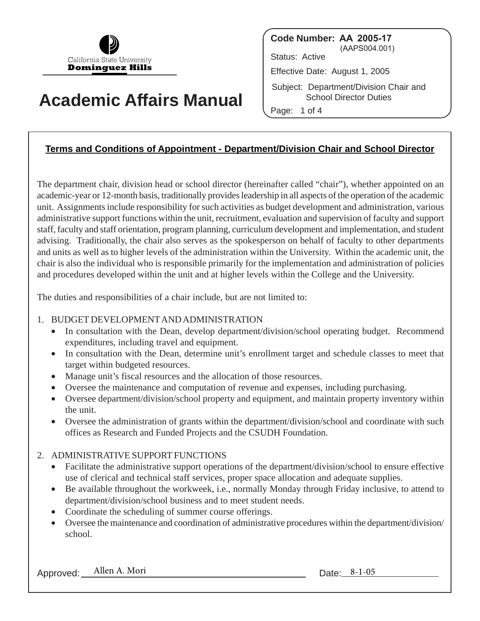

# **Academic Affairs Manual**

**Code Number: AA 2005-17** (AAPS004.001) Status: Active Effective Date: August 1, 2005 Subject: Department/Division Chair and School Director Duties Page: 1 of 4

# **Terms and Conditions of Appointment - Department/Division Chair and School Director**

The department chair, division head or school director (hereinafter called "chair"), whether appointed on an academic-year or 12-month basis, traditionally provides leadership in all aspects of the operation of the academic unit. Assignments include responsibility for such activities as budget development and administration, various administrative support functions within the unit, recruitment, evaluation and supervision of faculty and support staff, faculty and staff orientation, program planning, curriculum development and implementation, and student advising. Traditionally, the chair also serves as the spokesperson on behalf of faculty to other departments and units as well as to higher levels of the administration within the University. Within the academic unit, the chair is also the individual who is responsible primarily for the implementation and administration of policies and procedures developed within the unit and at higher levels within the College and the University.

The duties and responsibilities of a chair include, but are not limited to:

## 1. BUDGET DEVELOPMENTAND ADMINISTRATION

- In consultation with the Dean, develop department/division/school operating budget. Recommend expenditures, including travel and equipment.
- In consultation with the Dean, determine unit's enrollment target and schedule classes to meet that target within budgeted resources.
- Manage unit's fiscal resources and the allocation of those resources.
- Oversee the maintenance and computation of revenue and expenses, including purchasing.
- Oversee department/division/school property and equipment, and maintain property inventory within the unit.
- Oversee the administration of grants within the department/division/school and coordinate with such offices as Research and Funded Projects and the CSUDH Foundation.

## 2. ADMINISTRATIVE SUPPORT FUNCTIONS

- Facilitate the administrative support operations of the department/division/school to ensure effective use of clerical and technical staff services, proper space allocation and adequate supplies.
- Be available throughout the workweek, i.e., normally Monday through Friday inclusive, to attend to department/division/school business and to meet student needs.
- Coordinate the scheduling of summer course offerings.
- Oversee the maintenance and coordination of administrative procedures within the department/division/ school.

Approved: Allen A. Mori Date: 8-1-05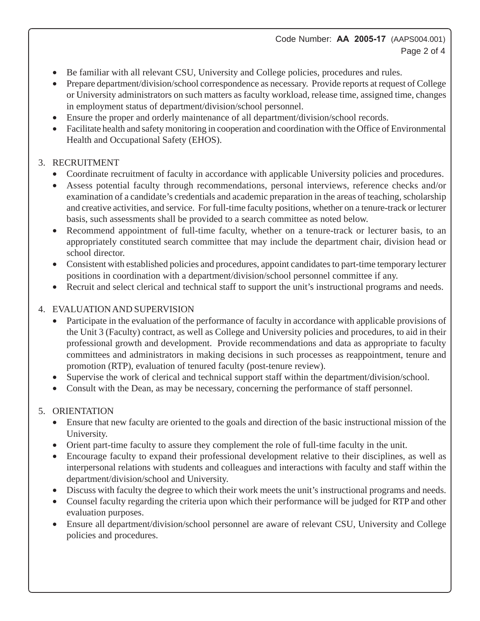## Code Number: **AA 2005-17** (AAPS004.001) Page 2 of 4

- Be familiar with all relevant CSU, University and College policies, procedures and rules.
- Prepare department/division/school correspondence as necessary. Provide reports at request of College or University administrators on such matters as faculty workload, release time, assigned time, changes in employment status of department/division/school personnel.
- Ensure the proper and orderly maintenance of all department/division/school records.
- Facilitate health and safety monitoring in cooperation and coordination with the Office of Environmental Health and Occupational Safety (EHOS).

## 3. RECRUITMENT

- Coordinate recruitment of faculty in accordance with applicable University policies and procedures.
- Assess potential faculty through recommendations, personal interviews, reference checks and/or examination of a candidate's credentials and academic preparation in the areas of teaching, scholarship and creative activities, and service. For full-time faculty positions, whether on a tenure-track or lecturer basis, such assessments shall be provided to a search committee as noted below.
- Recommend appointment of full-time faculty, whether on a tenure-track or lecturer basis, to an appropriately constituted search committee that may include the department chair, division head or school director.
- Consistent with established policies and procedures, appoint candidates to part-time temporary lecturer positions in coordination with a department/division/school personnel committee if any.
- Recruit and select clerical and technical staff to support the unit's instructional programs and needs.

## 4. EVALUATION AND SUPERVISION

- Participate in the evaluation of the performance of faculty in accordance with applicable provisions of the Unit 3 (Faculty) contract, as well as College and University policies and procedures, to aid in their professional growth and development. Provide recommendations and data as appropriate to faculty committees and administrators in making decisions in such processes as reappointment, tenure and promotion (RTP), evaluation of tenured faculty (post-tenure review).
- Supervise the work of clerical and technical support staff within the department/division/school.
- Consult with the Dean, as may be necessary, concerning the performance of staff personnel.

# 5. ORIENTATION

- Ensure that new faculty are oriented to the goals and direction of the basic instructional mission of the University.
- Orient part-time faculty to assure they complement the role of full-time faculty in the unit.
- Encourage faculty to expand their professional development relative to their disciplines, as well as interpersonal relations with students and colleagues and interactions with faculty and staff within the department/division/school and University.
- Discuss with faculty the degree to which their work meets the unit's instructional programs and needs.
- Counsel faculty regarding the criteria upon which their performance will be judged for RTP and other evaluation purposes.
- Ensure all department/division/school personnel are aware of relevant CSU, University and College policies and procedures.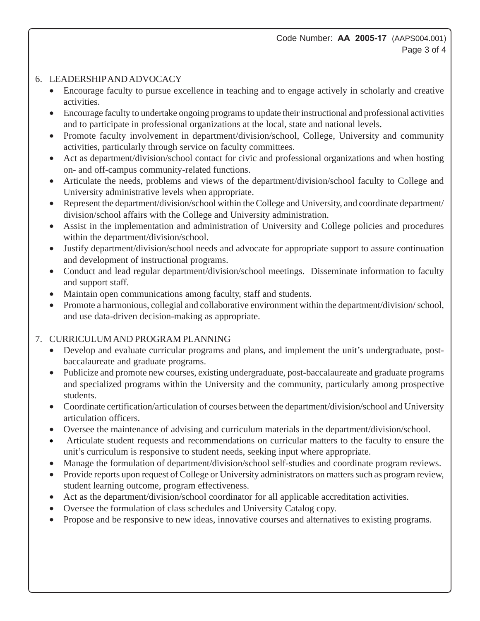## 6. LEADERSHIP AND ADVOCACY

- Encourage faculty to pursue excellence in teaching and to engage actively in scholarly and creative activities.
- Encourage faculty to undertake ongoing programs to update their instructional and professional activities and to participate in professional organizations at the local, state and national levels.
- Promote faculty involvement in department/division/school, College, University and community activities, particularly through service on faculty committees.
- Act as department/division/school contact for civic and professional organizations and when hosting on- and off-campus community-related functions.
- Articulate the needs, problems and views of the department/division/school faculty to College and University administrative levels when appropriate.
- Represent the department/division/school within the College and University, and coordinate department/ division/school affairs with the College and University administration.
- Assist in the implementation and administration of University and College policies and procedures within the department/division/school.
- Justify department/division/school needs and advocate for appropriate support to assure continuation and development of instructional programs.
- Conduct and lead regular department/division/school meetings. Disseminate information to faculty and support staff.
- Maintain open communications among faculty, staff and students.
- Promote a harmonious, collegial and collaborative environment within the department/division/ school, and use data-driven decision-making as appropriate.

# 7. CURRICULUM AND PROGRAM PLANNING

- Develop and evaluate curricular programs and plans, and implement the unit's undergraduate, postbaccalaureate and graduate programs.
- Publicize and promote new courses, existing undergraduate, post-baccalaureate and graduate programs and specialized programs within the University and the community, particularly among prospective students.
- Coordinate certification/articulation of courses between the department/division/school and University articulation officers.
- Oversee the maintenance of advising and curriculum materials in the department/division/school.
- Articulate student requests and recommendations on curricular matters to the faculty to ensure the unit's curriculum is responsive to student needs, seeking input where appropriate.
- Manage the formulation of department/division/school self-studies and coordinate program reviews.
- Provide reports upon request of College or University administrators on matters such as program review, student learning outcome, program effectiveness.
- Act as the department/division/school coordinator for all applicable accreditation activities.
- Oversee the formulation of class schedules and University Catalog copy.
- Propose and be responsive to new ideas, innovative courses and alternatives to existing programs.